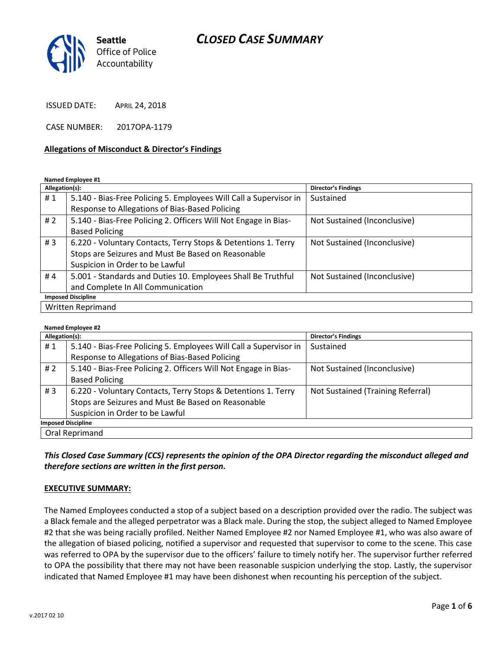# *CLOSED CASE SUMMARY*



ISSUED DATE: APRIL 24, 2018

CASE NUMBER: 2017OPA-1179

### **Allegations of Misconduct & Director's Findings**

#### **Named Employee #1**

| Allegation(s):            |                                                                   | <b>Director's Findings</b>   |  |
|---------------------------|-------------------------------------------------------------------|------------------------------|--|
| #1                        | 5.140 - Bias-Free Policing 5. Employees Will Call a Supervisor in | Sustained                    |  |
|                           | Response to Allegations of Bias-Based Policing                    |                              |  |
| #2                        | 5.140 - Bias-Free Policing 2. Officers Will Not Engage in Bias-   | Not Sustained (Inconclusive) |  |
|                           | <b>Based Policing</b>                                             |                              |  |
| #3                        | 6.220 - Voluntary Contacts, Terry Stops & Detentions 1. Terry     | Not Sustained (Inconclusive) |  |
|                           | Stops are Seizures and Must Be Based on Reasonable                |                              |  |
|                           | Suspicion in Order to be Lawful                                   |                              |  |
| #4                        | 5.001 - Standards and Duties 10. Employees Shall Be Truthful      | Not Sustained (Inconclusive) |  |
|                           | and Complete In All Communication                                 |                              |  |
| <b>Imposed Discipline</b> |                                                                   |                              |  |
| Written Reprimand         |                                                                   |                              |  |

#### **Named Employee #2**

| Allegation(s):            |                                                                   | Director's Findings               |  |
|---------------------------|-------------------------------------------------------------------|-----------------------------------|--|
| #1                        | 5.140 - Bias-Free Policing 5. Employees Will Call a Supervisor in | Sustained                         |  |
|                           | Response to Allegations of Bias-Based Policing                    |                                   |  |
| #2                        | 5.140 - Bias-Free Policing 2. Officers Will Not Engage in Bias-   | Not Sustained (Inconclusive)      |  |
|                           | <b>Based Policing</b>                                             |                                   |  |
| #3                        | 6.220 - Voluntary Contacts, Terry Stops & Detentions 1. Terry     | Not Sustained (Training Referral) |  |
|                           | Stops are Seizures and Must Be Based on Reasonable                |                                   |  |
|                           | Suspicion in Order to be Lawful                                   |                                   |  |
| <b>Imposed Discipline</b> |                                                                   |                                   |  |
| Oral Reprimand            |                                                                   |                                   |  |

## *This Closed Case Summary (CCS) represents the opinion of the OPA Director regarding the misconduct alleged and therefore sections are written in the first person.*

#### **EXECUTIVE SUMMARY:**

The Named Employees conducted a stop of a subject based on a description provided over the radio. The subject was a Black female and the alleged perpetrator was a Black male. During the stop, the subject alleged to Named Employee #2 that she was being racially profiled. Neither Named Employee #2 nor Named Employee #1, who was also aware of the allegation of biased policing, notified a supervisor and requested that supervisor to come to the scene. This case was referred to OPA by the supervisor due to the officers' failure to timely notify her. The supervisor further referred to OPA the possibility that there may not have been reasonable suspicion underlying the stop. Lastly, the supervisor indicated that Named Employee #1 may have been dishonest when recounting his perception of the subject.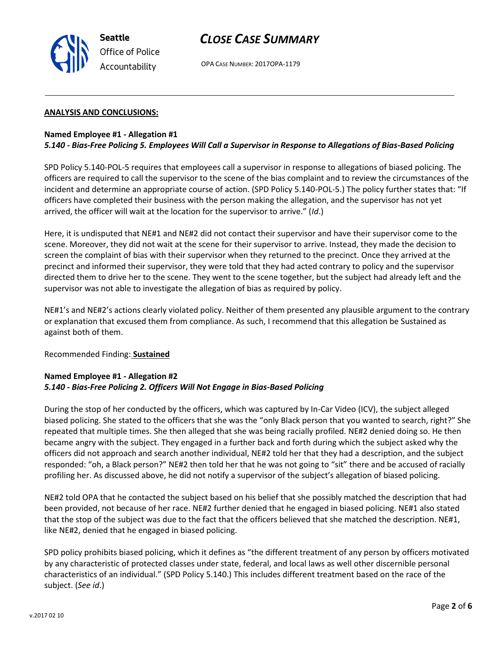

# *CLOSE CASE SUMMARY*

OPA CASE NUMBER: 2017OPA-1179

### **ANALYSIS AND CONCLUSIONS:**

### **Named Employee #1 - Allegation #1** *5.140 - Bias-Free Policing 5. Employees Will Call a Supervisor in Response to Allegations of Bias-Based Policing*

SPD Policy 5.140-POL-5 requires that employees call a supervisor in response to allegations of biased policing. The officers are required to call the supervisor to the scene of the bias complaint and to review the circumstances of the incident and determine an appropriate course of action. (SPD Policy 5.140-POL-5.) The policy further states that: "If officers have completed their business with the person making the allegation, and the supervisor has not yet arrived, the officer will wait at the location for the supervisor to arrive." (*Id*.)

Here, it is undisputed that NE#1 and NE#2 did not contact their supervisor and have their supervisor come to the scene. Moreover, they did not wait at the scene for their supervisor to arrive. Instead, they made the decision to screen the complaint of bias with their supervisor when they returned to the precinct. Once they arrived at the precinct and informed their supervisor, they were told that they had acted contrary to policy and the supervisor directed them to drive her to the scene. They went to the scene together, but the subject had already left and the supervisor was not able to investigate the allegation of bias as required by policy.

NE#1's and NE#2's actions clearly violated policy. Neither of them presented any plausible argument to the contrary or explanation that excused them from compliance. As such, I recommend that this allegation be Sustained as against both of them.

## Recommended Finding: **Sustained**

## **Named Employee #1 - Allegation #2** *5.140 - Bias-Free Policing 2. Officers Will Not Engage in Bias-Based Policing*

During the stop of her conducted by the officers, which was captured by In-Car Video (ICV), the subject alleged biased policing. She stated to the officers that she was the "only Black person that you wanted to search, right?" She repeated that multiple times. She then alleged that she was being racially profiled. NE#2 denied doing so. He then became angry with the subject. They engaged in a further back and forth during which the subject asked why the officers did not approach and search another individual, NE#2 told her that they had a description, and the subject responded: "oh, a Black person?" NE#2 then told her that he was not going to "sit" there and be accused of racially profiling her. As discussed above, he did not notify a supervisor of the subject's allegation of biased policing.

NE#2 told OPA that he contacted the subject based on his belief that she possibly matched the description that had been provided, not because of her race. NE#2 further denied that he engaged in biased policing. NE#1 also stated that the stop of the subject was due to the fact that the officers believed that she matched the description. NE#1, like NE#2, denied that he engaged in biased policing.

SPD policy prohibits biased policing, which it defines as "the different treatment of any person by officers motivated by any characteristic of protected classes under state, federal, and local laws as well other discernible personal characteristics of an individual." (SPD Policy 5.140.) This includes different treatment based on the race of the subject. (*See id*.)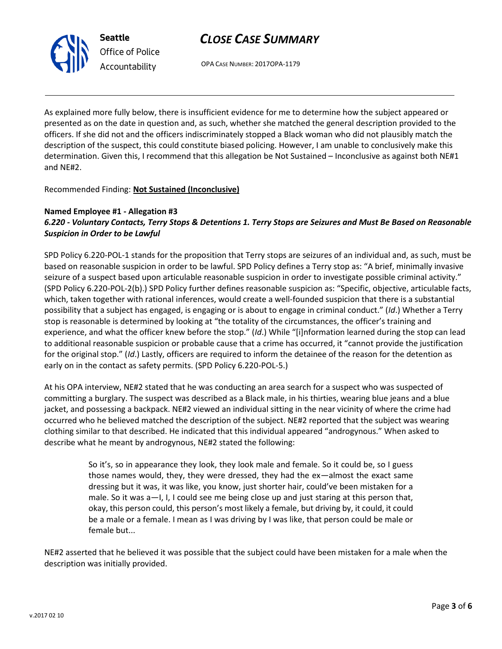

OPA CASE NUMBER: 2017OPA-1179

As explained more fully below, there is insufficient evidence for me to determine how the subject appeared or presented as on the date in question and, as such, whether she matched the general description provided to the officers. If she did not and the officers indiscriminately stopped a Black woman who did not plausibly match the description of the suspect, this could constitute biased policing. However, I am unable to conclusively make this determination. Given this, I recommend that this allegation be Not Sustained – Inconclusive as against both NE#1 and NE#2.

Recommended Finding: **Not Sustained (Inconclusive)**

## **Named Employee #1 - Allegation #3**

**Seattle**

*Office of Police Accountability*

## *6.220 - Voluntary Contacts, Terry Stops & Detentions 1. Terry Stops are Seizures and Must Be Based on Reasonable Suspicion in Order to be Lawful*

SPD Policy 6.220-POL-1 stands for the proposition that Terry stops are seizures of an individual and, as such, must be based on reasonable suspicion in order to be lawful. SPD Policy defines a Terry stop as: "A brief, minimally invasive seizure of a suspect based upon articulable reasonable suspicion in order to investigate possible criminal activity." (SPD Policy 6.220-POL-2(b).) SPD Policy further defines reasonable suspicion as: "Specific, objective, articulable facts, which, taken together with rational inferences, would create a well-founded suspicion that there is a substantial possibility that a subject has engaged, is engaging or is about to engage in criminal conduct." (*Id*.) Whether a Terry stop is reasonable is determined by looking at "the totality of the circumstances, the officer's training and experience, and what the officer knew before the stop." (*Id*.) While "[i]nformation learned during the stop can lead to additional reasonable suspicion or probable cause that a crime has occurred, it "cannot provide the justification for the original stop." (*Id*.) Lastly, officers are required to inform the detainee of the reason for the detention as early on in the contact as safety permits. (SPD Policy 6.220-POL-5.)

At his OPA interview, NE#2 stated that he was conducting an area search for a suspect who was suspected of committing a burglary. The suspect was described as a Black male, in his thirties, wearing blue jeans and a blue jacket, and possessing a backpack. NE#2 viewed an individual sitting in the near vicinity of where the crime had occurred who he believed matched the description of the subject. NE#2 reported that the subject was wearing clothing similar to that described. He indicated that this individual appeared "androgynous." When asked to describe what he meant by androgynous, NE#2 stated the following:

> So it's, so in appearance they look, they look male and female. So it could be, so I guess those names would, they, they were dressed, they had the ex—almost the exact same dressing but it was, it was like, you know, just shorter hair, could've been mistaken for a male. So it was a-I, I, I could see me being close up and just staring at this person that, okay, this person could, this person's most likely a female, but driving by, it could, it could be a male or a female. I mean as I was driving by I was like, that person could be male or female but...

NE#2 asserted that he believed it was possible that the subject could have been mistaken for a male when the description was initially provided.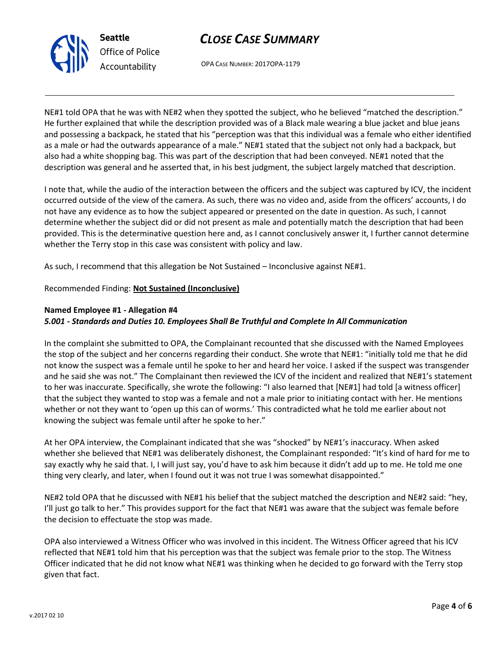



OPA CASE NUMBER: 2017OPA-1179

NE#1 told OPA that he was with NE#2 when they spotted the subject, who he believed "matched the description." He further explained that while the description provided was of a Black male wearing a blue jacket and blue jeans and possessing a backpack, he stated that his "perception was that this individual was a female who either identified as a male or had the outwards appearance of a male." NE#1 stated that the subject not only had a backpack, but also had a white shopping bag. This was part of the description that had been conveyed. NE#1 noted that the description was general and he asserted that, in his best judgment, the subject largely matched that description.

I note that, while the audio of the interaction between the officers and the subject was captured by ICV, the incident occurred outside of the view of the camera. As such, there was no video and, aside from the officers' accounts, I do not have any evidence as to how the subject appeared or presented on the date in question. As such, I cannot determine whether the subject did or did not present as male and potentially match the description that had been provided. This is the determinative question here and, as I cannot conclusively answer it, I further cannot determine whether the Terry stop in this case was consistent with policy and law.

As such, I recommend that this allegation be Not Sustained – Inconclusive against NE#1.

Recommended Finding: **Not Sustained (Inconclusive)**

## **Named Employee #1 - Allegation #4**

## *5.001 - Standards and Duties 10. Employees Shall Be Truthful and Complete In All Communication*

In the complaint she submitted to OPA, the Complainant recounted that she discussed with the Named Employees the stop of the subject and her concerns regarding their conduct. She wrote that NE#1: "initially told me that he did not know the suspect was a female until he spoke to her and heard her voice. I asked if the suspect was transgender and he said she was not." The Complainant then reviewed the ICV of the incident and realized that NE#1's statement to her was inaccurate. Specifically, she wrote the following: "I also learned that [NE#1] had told [a witness officer] that the subject they wanted to stop was a female and not a male prior to initiating contact with her. He mentions whether or not they want to 'open up this can of worms.' This contradicted what he told me earlier about not knowing the subject was female until after he spoke to her."

At her OPA interview, the Complainant indicated that she was "shocked" by NE#1's inaccuracy. When asked whether she believed that NE#1 was deliberately dishonest, the Complainant responded: "It's kind of hard for me to say exactly why he said that. I, I will just say, you'd have to ask him because it didn't add up to me. He told me one thing very clearly, and later, when I found out it was not true I was somewhat disappointed."

NE#2 told OPA that he discussed with NE#1 his belief that the subject matched the description and NE#2 said: "hey, I'll just go talk to her." This provides support for the fact that NE#1 was aware that the subject was female before the decision to effectuate the stop was made.

OPA also interviewed a Witness Officer who was involved in this incident. The Witness Officer agreed that his ICV reflected that NE#1 told him that his perception was that the subject was female prior to the stop. The Witness Officer indicated that he did not know what NE#1 was thinking when he decided to go forward with the Terry stop given that fact.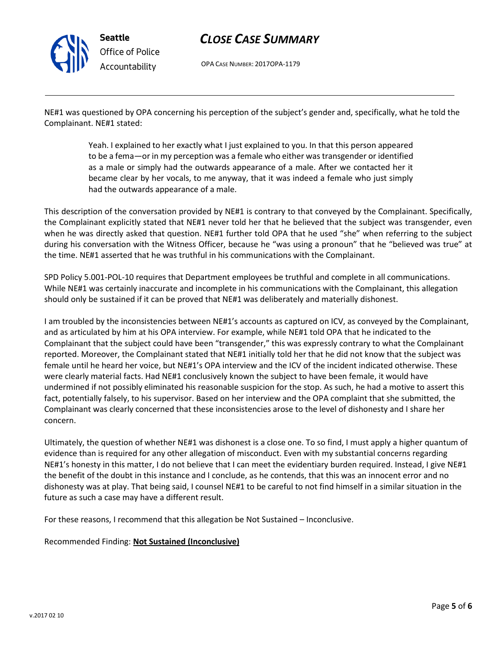

# *CLOSE CASE SUMMARY*

OPA CASE NUMBER: 2017OPA-1179

NE#1 was questioned by OPA concerning his perception of the subject's gender and, specifically, what he told the Complainant. NE#1 stated:

> Yeah. I explained to her exactly what I just explained to you. In that this person appeared to be a fema—or in my perception was a female who either was transgender or identified as a male or simply had the outwards appearance of a male. After we contacted her it became clear by her vocals, to me anyway, that it was indeed a female who just simply had the outwards appearance of a male.

This description of the conversation provided by NE#1 is contrary to that conveyed by the Complainant. Specifically, the Complainant explicitly stated that NE#1 never told her that he believed that the subject was transgender, even when he was directly asked that question. NE#1 further told OPA that he used "she" when referring to the subject during his conversation with the Witness Officer, because he "was using a pronoun" that he "believed was true" at the time. NE#1 asserted that he was truthful in his communications with the Complainant.

SPD Policy 5.001-POL-10 requires that Department employees be truthful and complete in all communications. While NE#1 was certainly inaccurate and incomplete in his communications with the Complainant, this allegation should only be sustained if it can be proved that NE#1 was deliberately and materially dishonest.

I am troubled by the inconsistencies between NE#1's accounts as captured on ICV, as conveyed by the Complainant, and as articulated by him at his OPA interview. For example, while NE#1 told OPA that he indicated to the Complainant that the subject could have been "transgender," this was expressly contrary to what the Complainant reported. Moreover, the Complainant stated that NE#1 initially told her that he did not know that the subject was female until he heard her voice, but NE#1's OPA interview and the ICV of the incident indicated otherwise. These were clearly material facts. Had NE#1 conclusively known the subject to have been female, it would have undermined if not possibly eliminated his reasonable suspicion for the stop. As such, he had a motive to assert this fact, potentially falsely, to his supervisor. Based on her interview and the OPA complaint that she submitted, the Complainant was clearly concerned that these inconsistencies arose to the level of dishonesty and I share her concern.

Ultimately, the question of whether NE#1 was dishonest is a close one. To so find, I must apply a higher quantum of evidence than is required for any other allegation of misconduct. Even with my substantial concerns regarding NE#1's honesty in this matter, I do not believe that I can meet the evidentiary burden required. Instead, I give NE#1 the benefit of the doubt in this instance and I conclude, as he contends, that this was an innocent error and no dishonesty was at play. That being said, I counsel NE#1 to be careful to not find himself in a similar situation in the future as such a case may have a different result.

For these reasons, I recommend that this allegation be Not Sustained – Inconclusive.

Recommended Finding: **Not Sustained (Inconclusive)**